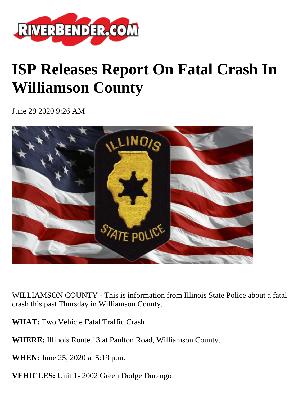

## **ISP Releases Report On Fatal Crash In Williamson County**

June 29 2020 9:26 AM



WILLIAMSON COUNTY - This is information from Illinois State Police about a fatal crash this past Thursday in Williamson County.

**WHAT:** Two Vehicle Fatal Traffic Crash

**WHERE:** Illinois Route 13 at Paulton Road, Williamson County.

**WHEN:** June 25, 2020 at 5:19 p.m.

**VEHICLES:** Unit 1- 2002 Green Dodge Durango